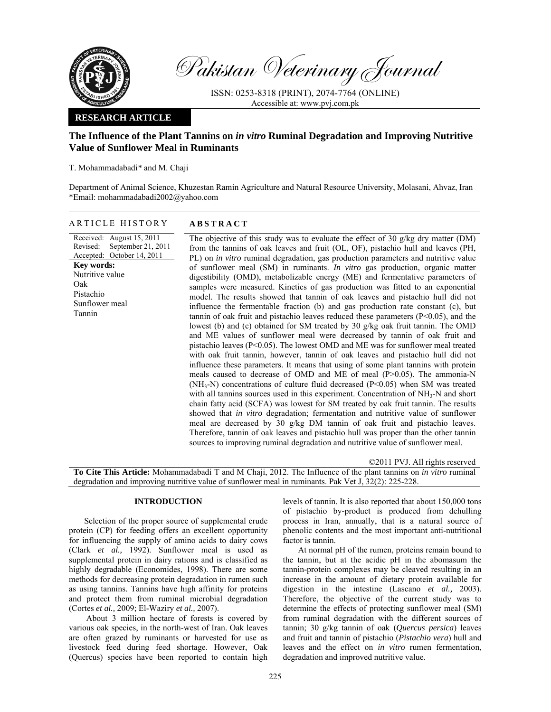

Pakistan Veterinary Journal

ISSN: 0253-8318 (PRINT), 2074-7764 (ONLINE) Accessible at: www.pvj.com.pk

## **RESEARCH ARTICLE**

# **The Influence of the Plant Tannins on** *in vitro* **Ruminal Degradation and Improving Nutritive Value of Sunflower Meal in Ruminants**

T. Mohammadabadi*\** and M. Chaji

Department of Animal Science, Khuzestan Ramin Agriculture and Natural Resource University, Molasani, Ahvaz, Iran \*Email: mohammadabadi2002@yahoo.com

# ARTICLE HISTORY **ABSTRACT**

### Received: August 15, 2011 Revised: Accepted: September 21, 2011 October 14, 2011 **Key words:**  Nutritive value Oak Pistachio Sunflower meal Tannin

The objective of this study was to evaluate the effect of 30 g/kg dry matter (DM) from the tannins of oak leaves and fruit (OL, OF), pistachio hull and leaves (PH, PL) on *in vitro* ruminal degradation, gas production parameters and nutritive value of sunflower meal (SM) in ruminants. *In vitro* gas production, organic matter digestibility (OMD), metabolizable energy (ME) and fermentative parameters of samples were measured. Kinetics of gas production was fitted to an exponential model. The results showed that tannin of oak leaves and pistachio hull did not influence the fermentable fraction (b) and gas production rate constant (c), but tannin of oak fruit and pistachio leaves reduced these parameters  $(P<0.05)$ , and the lowest (b) and (c) obtained for SM treated by 30 g/kg oak fruit tannin. The OMD and ME values of sunflower meal were decreased by tannin of oak fruit and pistachio leaves (P<0.05). The lowest OMD and ME was for sunflower meal treated with oak fruit tannin, however, tannin of oak leaves and pistachio hull did not influence these parameters. It means that using of some plant tannins with protein meals caused to decrease of OMD and ME of meal (P>0.05). The ammonia-N  $(NH_3-N)$  concentrations of culture fluid decreased (P<0.05) when SM was treated with all tannins sources used in this experiment. Concentration of  $NH<sub>3</sub>-N$  and short chain fatty acid (SCFA) was lowest for SM treated by oak fruit tannin. The results showed that *in vitro* degradation; fermentation and nutritive value of sunflower meal are decreased by 30 g/kg DM tannin of oak fruit and pistachio leaves. Therefore, tannin of oak leaves and pistachio hull was proper than the other tannin sources to improving ruminal degradation and nutritive value of sunflower meal.

©2011 PVJ. All rights reserved **To Cite This Article:** Mohammadabadi T and M Chaji, 2012. The Influence of the plant tannins on *in vitro* ruminal degradation and improving nutritive value of sunflower meal in ruminants. Pak Vet J, 32(2): 225-228.

## **INTRODUCTION**

Selection of the proper source of supplemental crude protein (CP) for feeding offers an excellent opportunity for influencing the supply of amino acids to dairy cows (Clark *et al.,* 1992). Sunflower meal is used as supplemental protein in dairy rations and is classified as highly degradable (Economides, 1998). There are some methods for decreasing protein degradation in rumen such as using tannins. Tannins have high affinity for proteins and protect them from ruminal microbial degradation (Cortes *et al.,* 2009; El-Waziry *et al.,* 2007).

 About 3 million hectare of forests is covered by various oak species, in the north-west of Iran. Oak leaves are often grazed by ruminants or harvested for use as livestock feed during feed shortage. However, Oak (Quercus) species have been reported to contain high

levels of tannin. It is also reported that about 150,000 tons of pistachio by-product is produced from dehulling process in Iran, annually, that is a natural source of phenolic contents and the most important anti-nutritional factor is tannin.

At normal pH of the rumen, proteins remain bound to the tannin, but at the acidic pH in the abomasum the tannin-protein complexes may be cleaved resulting in an increase in the amount of dietary protein available for digestion in the intestine (Lascano *et al.,* 2003). Therefore, the objective of the current study was to determine the effects of protecting sunflower meal (SM) from ruminal degradation with the different sources of tannin; 30 g/kg tannin of oak (*Quercus persica*) leaves and fruit and tannin of pistachio (*Pistachio vera*) hull and leaves and the effect on *in vitro* rumen fermentation, degradation and improved nutritive value.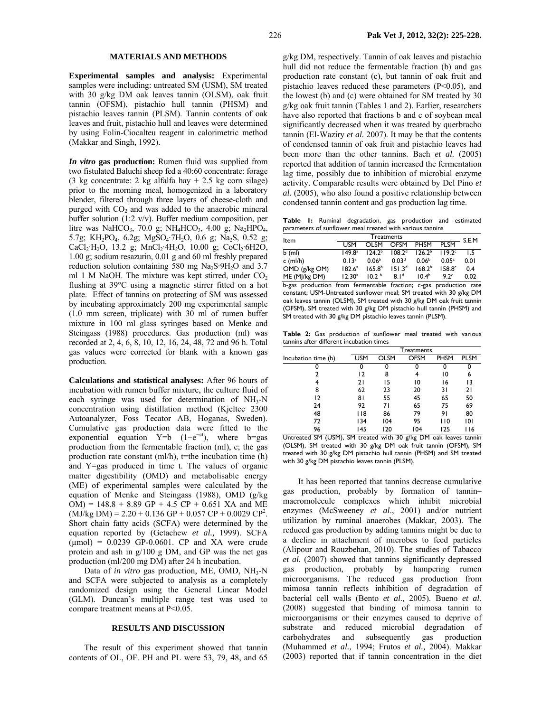### **MATERIALS AND METHODS**

**Experimental samples and analysis:** Experimental samples were including: untreated SM (USM), SM treated with 30 g/kg DM oak leaves tannin (OLSM), oak fruit tannin (OFSM), pistachio hull tannin (PHSM) and pistachio leaves tannin (PLSM). Tannin contents of oak leaves and fruit, pistachio hull and leaves were determined by using Folin-Ciocalteu reagent in calorimetric method (Makkar and Singh, 1992).

*In vitro* **gas production:** Rumen fluid was supplied from two fistulated Baluchi sheep fed a 40:60 concentrate: forage (3 kg concentrate: 2 kg alfalfa hay  $+ 2.5$  kg corn silage) prior to the morning meal, homogenized in a laboratory blender, filtered through three layers of cheese-cloth and purged with  $CO<sub>2</sub>$  and was added to the anaerobic mineral buffer solution (1:2 v/v). Buffer medium composition, per litre was NaHCO<sub>3</sub>, 70.0 g; NH<sub>4</sub>HCO<sub>3</sub>, 4.00 g; Na<sub>2</sub>HPO<sub>4</sub>, 5.7g; KH<sub>2</sub>PO<sub>4</sub>, 6.2g; MgSO<sub>4</sub>·7H<sub>2</sub>O, 0.6 g; Na<sub>2</sub>S, 0.52 g; CaCl<sub>2</sub>·H<sub>2</sub>O, 13.2 g; MnCl<sub>2</sub>·4H<sub>2</sub>O, 10.00 g; CoCl<sub>2</sub>·6H2O, 1.00 g; sodium resazurin, 0.01 g and 60 ml freshly prepared reduction solution containing 580 mg  $Na<sub>2</sub>S·9H<sub>2</sub>O$  and 3.7 ml 1 M NaOH. The mixture was kept stirred, under  $CO<sub>2</sub>$ flushing at 39°C using a magnetic stirrer fitted on a hot plate. Effect of tannins on protecting of SM was assessed by incubating approximately 200 mg experimental sample (1.0 mm screen, triplicate) with 30 ml of rumen buffer mixture in 100 ml glass syringes based on Menke and Steingass (1988) procedures. Gas production (ml) was recorded at 2, 4, 6, 8, 10, 12, 16, 24, 48, 72 and 96 h. Total gas values were corrected for blank with a known gas production.

**Calculations and statistical analyses:** After 96 hours of incubation with rumen buffer mixture, the culture fluid of each syringe was used for determination of NH<sub>3</sub>-N concentration using distillation method (Kjeltec 2300 Autoanalyzer, Foss Tecator AB, Hoganas, Sweden). Cumulative gas production data were fitted to the exponential equation  $Y=b$  (1-e<sup>-ct</sup>), where b=gas production from the fermentable fraction (ml), c; the gas production rate constant (ml/h),  $t$ =the incubation time (h) and Y=gas produced in time t. The values of organic matter digestibility (OMD) and metabolisable energy (ME) of experimental samples were calculated by the equation of Menke and Steingass (1988), OMD (g/kg  $OM$ ) = 148.8 + 8.89 GP + 4.5 CP + 0.651 XA and ME  $(MJ/kg DM) = 2.20 + 0.136 GP + 0.057 CP + 0.0029 CP<sup>2</sup>.$ Short chain fatty acids (SCFA) were determined by the equation reported by (Getachew *et al.,* 1999). SCFA  $(\mu \text{mol})$  = 0.0239 GP-0.0601. CP and XA were crude protein and ash in g/100 g DM, and GP was the net gas production (ml/200 mg DM) after 24 h incubation.

Data of *in vitro* gas production, ME, OMD, NH<sub>3</sub>-N and SCFA were subjected to analysis as a completely randomized design using the General Linear Model (GLM). Duncan's multiple range test was used to compare treatment means at P<0.05.

# **RESULTS AND DISCUSSION**

The result of this experiment showed that tannin contents of OL, OF. PH and PL were 53, 79, 48, and 65 g/kg DM, respectively. Tannin of oak leaves and pistachio hull did not reduce the fermentable fraction (b) and gas production rate constant (c), but tannin of oak fruit and pistachio leaves reduced these parameters (P<0.05), and the lowest (b) and (c) were obtained for SM treated by 30 g/kg oak fruit tannin (Tables 1 and 2). Earlier, researchers have also reported that fractions b and c of soybean meal significantly decreased when it was treated by querbracho tannin (El-Waziry *et al.* 2007). It may be that the contents of condensed tannin of oak fruit and pistachio leaves had been more than the other tannins. Bach *et al.* (2005) reported that addition of tannin increased the fermentation lag time, possibly due to inhibition of microbial enzyme activity. Comparable results were obtained by Del Pino *et al.* (2005), who also found a positive relationship between condensed tannin content and gas production lag time.

**Table 1:** Ruminal degradation, gas production and estimated parameters of sunflower meal treated with various tannins

| Item                                                               |                    |                    | S.E.M              |                    |                    |      |  |  |
|--------------------------------------------------------------------|--------------------|--------------------|--------------------|--------------------|--------------------|------|--|--|
|                                                                    | <b>LISM</b>        | OI SM              | <b>OFSM</b>        | PHSM               | PI SM              |      |  |  |
| b (ml)                                                             | 149.8 <sup>a</sup> | 124.2 <sup>b</sup> | 108.2 <sup>d</sup> | 126.2 <sup>b</sup> | 119.2 <sup>c</sup> | 15   |  |  |
| c (ml/h)                                                           | 0.13 <sup>a</sup>  | 0.06 <sup>b</sup>  | 0.03 <sup>d</sup>  | 0.06 <sup>b</sup>  | 0.05 <sup>c</sup>  | 0.01 |  |  |
| OMD (g/kg OM)                                                      | $182.6^a$          | $165.8^{b}$        | 151.3 <sup>d</sup> | $168.2^{b}$        | 158.8 <sup>c</sup> | 0.4  |  |  |
| ME (MJ/kg DM)                                                      | 12.30 <sup>a</sup> | 10.2 <sup>b</sup>  | 8.1 <sup>d</sup>   | 10.4 <sup>b</sup>  | 9 Jc               | 0.02 |  |  |
| b-gas production from fermentable fraction; c-gas production rate  |                    |                    |                    |                    |                    |      |  |  |
| constant; USM-Untreated sunflower meal; SM treated with 30 g/kg DM |                    |                    |                    |                    |                    |      |  |  |

oak leaves tannin (OLSM), SM treated with 30 g/kg DM oak fruit tannin (OFSM), SM treated with 30 g/kg DM pistachio hull tannin (PHSM) and SM treated with 30 g/kg DM pistachio leaves tannin (PLSM).

**Table 2:** Gas production of sunflower meal treated with various tannins after different incubation times

|                     | <b>Treatments</b> |      |      |      |             |  |  |  |
|---------------------|-------------------|------|------|------|-------------|--|--|--|
| Incubation time (h) | USM               | OLSM | OFSM | PHSM | <b>PLSM</b> |  |  |  |
|                     |                   |      | 0    |      | 0           |  |  |  |
|                     | 12                | 8    | 4    | 10   | 6           |  |  |  |
| 4                   | 21                | 15   | 10   | 16   | 13          |  |  |  |
| 8                   | 62                | 23   | 20   | 31   | 21          |  |  |  |
| 12                  | 81                | 55   | 45   | 65   | 50          |  |  |  |
| 24                  | 92                | 71   | 65   | 75   | 69          |  |  |  |
| 48                  | l 18              | 86   | 79   | 91   | 80          |  |  |  |
| 72                  | 134               | 104  | 95   | 110  | 101         |  |  |  |
| 96                  | 145               | 120  | 104  | 125  | l 16        |  |  |  |

Untreated SM (USM), SM treated with 30 g/kg DM oak leaves tannin (OLSM), SM treated with 30 g/kg DM oak fruit tannin (OFSM), SM treated with 30 g/kg DM pistachio hull tannin (PHSM) and SM treated with 30 g/kg DM pistachio leaves tannin (PLSM).

It has been reported that tannins decrease cumulative gas production, probably by formation of tannin– macromolecule complexes which inhibit microbial enzymes (McSweeney *et al*., 2001) and/or nutrient utilization by ruminal anaerobes (Makkar, 2003). The reduced gas production by adding tannins might be due to a decline in attachment of microbes to feed particles (Alipour and Rouzbehan, 2010). The studies of Tabacco *et al.* (2007) showed that tannins significantly depressed gas production, probably by hampering rumen microorganisms. The reduced gas production from mimosa tannin reflects inhibition of degradation of bacterial cell walls (Bento *et al.,* 2005). Bueno *et al*. (2008) suggested that binding of mimosa tannin to microorganisms or their enzymes caused to deprive of substrate and reduced microbial degradation of carbohydrates and subsequently gas production (Muhammed *et al.,* 1994; Frutos *et al.,* 2004). Makkar (2003) reported that if tannin concentration in the diet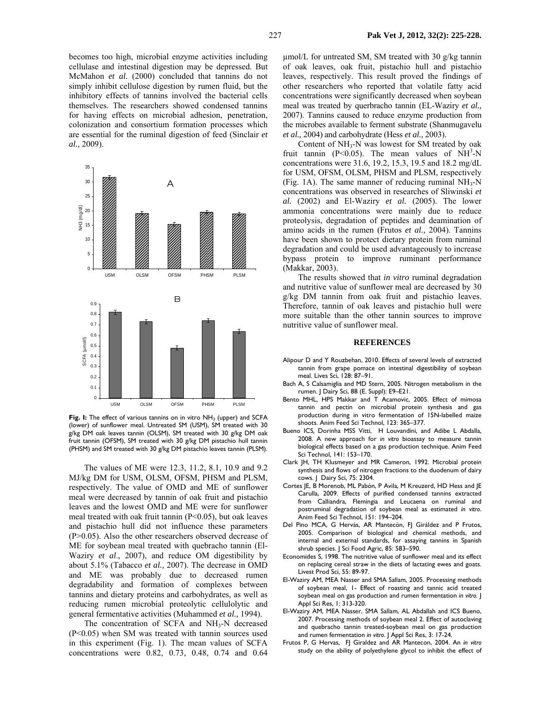becomes too high, microbial enzyme activities including cellulase and intestinal digestion may be depressed. But McMahon *et al.* (2000) concluded that tannins do not simply inhibit cellulose digestion by rumen fluid, but the inhibitory effects of tannins involved the bacterial cells themselves. The researchers showed condensed tannins for having effects on microbial adhesion, penetration, colonization and consortium formation processes which are essential for the ruminal digestion of feed (Sinclair *et al.,* 2009).



Fig. I: The effect of various tannins on in vitro NH<sub>3</sub> (upper) and SCFA (lower) of sunflower meal. Untreated SM (USM), SM treated with 30 g/kg DM oak leaves tannin (OLSM), SM treated with 30 g/kg DM oak fruit tannin (OFSM), SM treated with 30 g/kg DM pistachio hull tannin (PHSM) and SM treated with 30 g/kg DM pistachio leaves tannin (PLSM).

The values of ME were 12.3, 11.2, 8.1, 10.9 and 9.2 MJ/kg DM for USM, OLSM, OFSM, PHSM and PLSM, respectively. The value of OMD and ME of sunflower meal were decreased by tannin of oak fruit and pistachio leaves and the lowest OMD and ME were for sunflower meal treated with oak fruit tannin (P<0.05), but oak leaves and pistachio hull did not influence these parameters (P>0.05). Also the other researchers observed decrease of ME for soybean meal treated with quebracho tannin (El-Waziry *et al*., 2007), and reduce OM digestibility by about 5.1% (Tabacco *et al.,* 2007). The decrease in OMD and ME was probably due to decreased rumen degradability and formation of complexes between tannins and dietary proteins and carbohydrates, as well as reducing rumen microbial proteolytic cellulolytic and general fermentative activities (Muhammed *et al.,* 1994).

The concentration of SCFA and  $NH<sub>3</sub>-N$  decreased (P<0.05) when SM was treated with tannin sources used in this experiment (Fig. 1). The mean values of SCFA concentrations were 0.82, 0.73, 0.48, 0.74 and 0.64 µmol/L for untreated SM, SM treated with 30 g/kg tannin of oak leaves, oak fruit, pistachio hull and pistachio leaves, respectively. This result proved the findings of other researchers who reported that volatile fatty acid concentrations were significantly decreased when soybean meal was treated by querbracho tannin (EL-Waziry *et al.*, 2007). Tannins caused to reduce enzyme production from the microbes available to ferment substrate (Shanmugavelu *et al.,* 2004) and carbohydrate (Hess *et al.,* 2003).

Content of  $NH<sub>3</sub>-N$  was lowest for SM treated by oak fruit tannin (P<0.05). The mean values of  $NH<sup>3</sup>-N$ concentrations were 31.6, 19.2, 15.3, 19.5 and 18.2 mg/dL for USM, OFSM, OLSM, PHSM and PLSM, respectively (Fig. 1A). The same manner of reducing ruminal  $NH<sub>3</sub>-N$ concentrations was observed in researches of Sliwinski *et al.* (2002) and El-Waziry *et al.* (2005). The lower ammonia concentrations were mainly due to reduce proteolysis, degradation of peptides and deamination of amino acids in the rumen (Frutos *et al.,* 2004). Tannins have been shown to protect dietary protein from ruminal degradation and could be used advantageously to increase bypass protein to improve ruminant performance (Makkar, 2003).

The results showed that *in vitro* ruminal degradation and nutritive value of sunflower meal are decreased by 30 g/kg DM tannin from oak fruit and pistachio leaves. Therefore, tannin of oak leaves and pistachio hull were more suitable than the other tannin sources to improve nutritive value of sunflower meal.

### **REFERENCES**

- Alipour D and Y Rouzbehan, 2010. Effects of several levels of extracted tannin from grape pomace on intestinal digestibility of soybean meal. Lives Sci, 128: 87–91.
- Bach A, S Calsamiglia and MD Stern, 2005. Nitrogen metabolism in the rumen. J Dairy Sci, 88 (E. Suppl): E9–E21.
- Bento MHL, HPS Makkar and T Acamovic, 2005. Effect of mimosa tannin and pectin on microbial protein synthesis and gas production during in vitro fermentation of 15N-labelled maize shoots. Anim Feed Sci Technol, 123: 365–377.
- Bueno ICS*,* Dorinha MSS Vitti, H Louvandini, and Adibe L Abdalla, 2008. A new approach for *in vitro* bioassay to measure tannin biological effects based on a gas production technique. Anim Feed Sci Technol, 141: 153–170.
- Clark JH, TH Klusmeyer and MR Cameron, 1992. Microbial protein synthesis and flows of nitrogen fractions to the duodenum of dairy cows. J Dairy Sci, 75: 2304.
- Cortes JE, B Morenob, ML Pabón, P Avila, M Kreuzerd, HD Hess and JE Carulla, 2009. Effects of purified condensed tannins extracted from Calliandra, Flemingia and Leucaena on ruminal and postruminal degradation of soybean meal as estimated *in vitro*. Anim Feed Sci Technol, 151: 194–204.
- Del Pino MCA, G Hervás, AR Mantecón, FJ Giráldez and P Frutos, 2005. Comparison of biological and chemical methods, and internal and external standards, for assaying tannins in Spanish shrub species. J Sci Food Agric, 85: 583–590.
- Economides S, 1998. The nutritive value of sunflower meal and its effect on replacing cereal straw in the diets of lactating ewes and goats. Livest Prod Sci, 55: 89-97.
- El-Waziry AM, MEA Nasser and SMA Sallam, 2005. Processing methods of soybean meal, 1- Effect of roasting and tannic acid treated soybean meal on gas production and rumen fermentation *in vitro.* J Appl Sci Res, 1: 313-320.
- El-Waziry AM, MEA Nasser, SMA Sallam, AL Abdallah and ICS Bueno, 2007. Processing methods of soybean meal 2. Effect of autoclaving and quebracho tannin treated-soybean meal on gas production and rumen fermentation *in vitro*. J Appl Sci Res, 3: 17-24.
- Frutos P, G Hervas, FJ Giraldez and AR Mantecon, 2004. An *in vitro* study on the ability of polyethylene glycol to inhibit the effect of